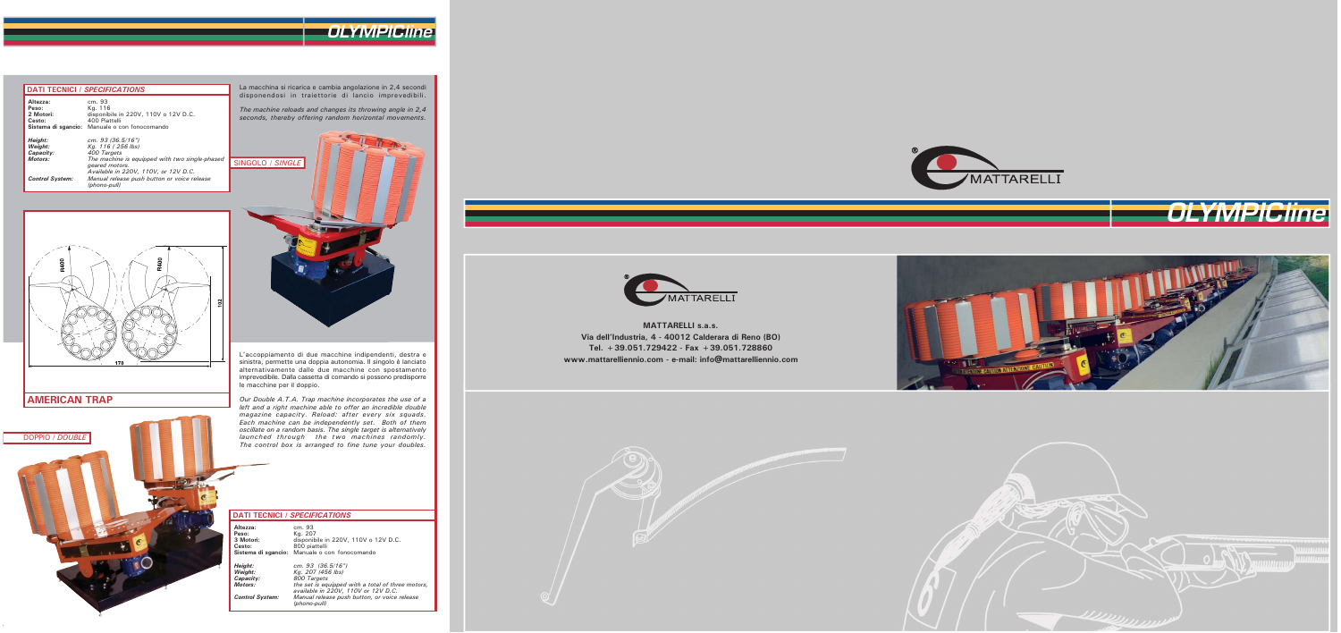# OLYMPICline

### **DATI TECNICI / SPECIFICATIONS**

**AMERICAN TRAP** 

DOPPIO / DOUBLE

| Altezza:<br>Peso:<br>2 Motori:<br>Cesto:   | cm. 93<br>Kg. 116<br>disponibile in 220V, 110V o 12V D.C.<br>400 Piattelli<br>Sistema di sgancio: Manuale o con fonocomando |
|--------------------------------------------|-----------------------------------------------------------------------------------------------------------------------------|
| Height:<br>Weight:<br>Capacity:<br>Motors: | cm. 93 $(36.5/16")$<br>Kg. 116 (256 lbs)<br>400 Targets<br>The machine is equipped with two single-phased<br>geared motors. |
| <b>Control System:</b>                     | Available in 220V, 110V, or 12V D.C.<br>Manual release push button or voice release<br>(phono-pull)                         |

La macchina si ricarica e cambia angolazione in 2,4 secondi<br>disponendosi in traiettorie di lancio imprevedibili.

The machine reloads and changes its throwing angle in 2,4<br>seconds, thereby offering random horizontal movements.



L'accoppiamento di due macchine indipendenti, destra e sinistra, permette una doppia autonomia. Il singolo è lanciato alternativamente dalle due macchine con spostamento imprevedibile. Dalla cassetta di comando si possono predisporre le macchine per il doppio.

Our Double A.T.A. Trap machine incorporates the use of a but bouble A.1.A. They machine incorporates the use of a<br>left and a right machine able to offer an incredible double<br>magazine capacity. Reload: after every six squads.<br>Each machine can be independently set. Both of them oscillate on a random basis. The single target is alternatively *comment of a random basis. The single target is alternatively*<br>launched through the two machines randomly.<br>The control box is arranged to fine tune your doubles.

#### **DATI TECNICI / SPECIFICATIONS**

| Altezza:<br>Peso:<br>3 Motori:<br>Cesto:                             | cm. 93<br>Kg. 207<br>disponibile in 220V, 110V o 12V D.C.<br>800 piattelli<br>Sistema di sgancio: Manuale o con fonocomando                                                                                         |
|----------------------------------------------------------------------|---------------------------------------------------------------------------------------------------------------------------------------------------------------------------------------------------------------------|
| Height:<br>Weight:<br>Capacity:<br>Motors:<br><b>Control System:</b> | cm. 93 $(36.5/16")$<br>Kg. 207 (456 lbs)<br>800 Targets<br>the set is equipped with a total of three motors,<br>available in 220V, 110V or 12V D.C.<br>Manual release push button, or voice release<br>(phono-pull) |

**MATTARELLI s.a.s.** Via dell'Industria, 4 - 40012 Calderara di Reno (BO) Tel. +39.051.729422 - Fax +39.051.728860 www.mattarelliennio.com - e-mail: info@mattarelliennio.com